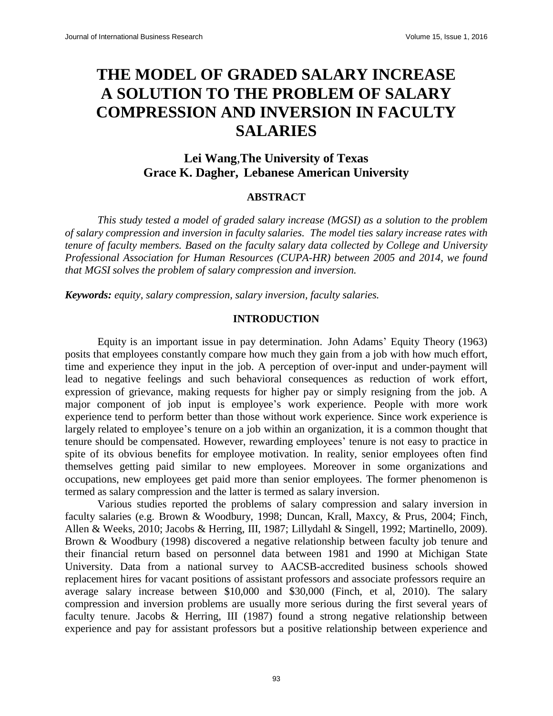## **THE MODEL OF GRADED SALARY INCREASE A SOLUTION TO THE PROBLEM OF SALARY COMPRESSION AND INVERSION IN FACULTY SALARIES**

### **Lei Wang**,**The University of Texas Grace K. Dagher, Lebanese American University**

#### **ABSTRACT**

*This study tested a model of graded salary increase (MGSI) as a solution to the problem of salary compression and inversion in faculty salaries. The model ties salary increase rates with tenure of faculty members. Based on the faculty salary data collected by College and University Professional Association for Human Resources (CUPA-HR) between 2005 and 2014, we found that MGSI solves the problem of salary compression and inversion.*

*Keywords: equity, salary compression, salary inversion, faculty salaries.*

#### **INTRODUCTION**

Equity is an important issue in pay determination. John Adams' Equity Theory (1963) posits that employees constantly compare how much they gain from a job with how much effort, time and experience they input in the job. A perception of over-input and under-payment will lead to negative feelings and such behavioral consequences as reduction of work effort, expression of grievance, making requests for higher pay or simply resigning from the job. A major component of job input is employee's work experience. People with more work experience tend to perform better than those without work experience. Since work experience is largely related to employee's tenure on a job within an organization, it is a common thought that tenure should be compensated. However, rewarding employees' tenure is not easy to practice in spite of its obvious benefits for employee motivation. In reality, senior employees often find themselves getting paid similar to new employees. Moreover in some organizations and occupations, new employees get paid more than senior employees. The former phenomenon is termed as salary compression and the latter is termed as salary inversion.

Various studies reported the problems of salary compression and salary inversion in faculty salaries (e.g. Brown & Woodbury, 1998; Duncan, Krall, Maxcy, & Prus, 2004; Finch, Allen & Weeks, 2010; Jacobs & Herring, III, 1987; Lillydahl & Singell, 1992; Martinello, 2009). Brown & Woodbury (1998) discovered a negative relationship between faculty job tenure and their financial return based on personnel data between 1981 and 1990 at Michigan State University. Data from a national survey to AACSB-accredited business schools showed replacement hires for vacant positions of assistant professors and associate professors require an average salary increase between \$10,000 and \$30,000 (Finch, et al, 2010). The salary compression and inversion problems are usually more serious during the first several years of faculty tenure. Jacobs & Herring, III (1987) found a strong negative relationship between experience and pay for assistant professors but a positive relationship between experience and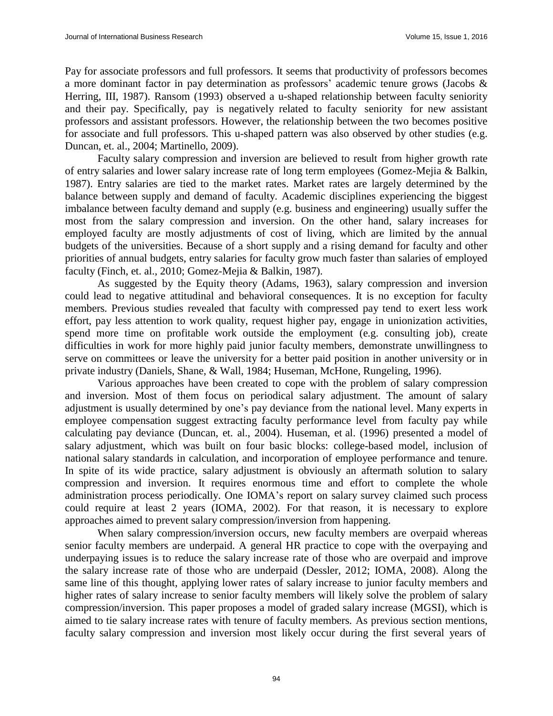Pay for associate professors and full professors. It seems that productivity of professors becomes a more dominant factor in pay determination as professors' academic tenure grows (Jacobs & Herring, III, 1987). Ransom (1993) observed a u-shaped relationship between faculty seniority and their pay. Specifically, pay is negatively related to faculty seniority for new assistant professors and assistant professors. However, the relationship between the two becomes positive for associate and full professors. This u-shaped pattern was also observed by other studies (e.g. Duncan, et. al., 2004; Martinello, 2009).

Faculty salary compression and inversion are believed to result from higher growth rate of entry salaries and lower salary increase rate of long term employees (Gomez-Mejia & Balkin, 1987). Entry salaries are tied to the market rates. Market rates are largely determined by the balance between supply and demand of faculty. Academic disciplines experiencing the biggest imbalance between faculty demand and supply (e.g. business and engineering) usually suffer the most from the salary compression and inversion. On the other hand, salary increases for employed faculty are mostly adjustments of cost of living, which are limited by the annual budgets of the universities. Because of a short supply and a rising demand for faculty and other priorities of annual budgets, entry salaries for faculty grow much faster than salaries of employed faculty (Finch, et. al., 2010; Gomez-Mejia & Balkin, 1987).

As suggested by the Equity theory (Adams, 1963), salary compression and inversion could lead to negative attitudinal and behavioral consequences. It is no exception for faculty members. Previous studies revealed that faculty with compressed pay tend to exert less work effort, pay less attention to work quality, request higher pay, engage in unionization activities, spend more time on profitable work outside the employment (e.g. consulting job), create difficulties in work for more highly paid junior faculty members, demonstrate unwillingness to serve on committees or leave the university for a better paid position in another university or in private industry (Daniels, Shane, & Wall, 1984; Huseman, McHone, Rungeling, 1996).

Various approaches have been created to cope with the problem of salary compression and inversion. Most of them focus on periodical salary adjustment. The amount of salary adjustment is usually determined by one's pay deviance from the national level. Many experts in employee compensation suggest extracting faculty performance level from faculty pay while calculating pay deviance (Duncan, et. al., 2004). Huseman, et al. (1996) presented a model of salary adjustment, which was built on four basic blocks: college-based model, inclusion of national salary standards in calculation, and incorporation of employee performance and tenure. In spite of its wide practice, salary adjustment is obviously an aftermath solution to salary compression and inversion. It requires enormous time and effort to complete the whole administration process periodically. One IOMA's report on salary survey claimed such process could require at least 2 years (IOMA, 2002). For that reason, it is necessary to explore approaches aimed to prevent salary compression/inversion from happening.

When salary compression/inversion occurs, new faculty members are overpaid whereas senior faculty members are underpaid. A general HR practice to cope with the overpaying and underpaying issues is to reduce the salary increase rate of those who are overpaid and improve the salary increase rate of those who are underpaid (Dessler, 2012; IOMA, 2008). Along the same line of this thought, applying lower rates of salary increase to junior faculty members and higher rates of salary increase to senior faculty members will likely solve the problem of salary compression/inversion. This paper proposes a model of graded salary increase (MGSI), which is aimed to tie salary increase rates with tenure of faculty members. As previous section mentions, faculty salary compression and inversion most likely occur during the first several years of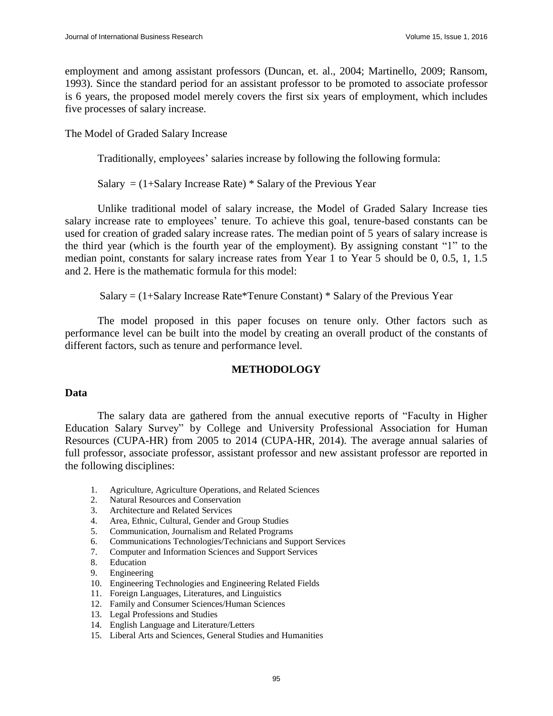employment and among assistant professors (Duncan, et. al., 2004; Martinello, 2009; Ransom, 1993). Since the standard period for an assistant professor to be promoted to associate professor is 6 years, the proposed model merely covers the first six years of employment, which includes five processes of salary increase.

The Model of Graded Salary Increase

Traditionally, employees' salaries increase by following the following formula:

Salary  $=$  (1+Salary Increase Rate)  $*$  Salary of the Previous Year

Unlike traditional model of salary increase, the Model of Graded Salary Increase ties salary increase rate to employees' tenure. To achieve this goal, tenure-based constants can be used for creation of graded salary increase rates. The median point of 5 years of salary increase is the third year (which is the fourth year of the employment). By assigning constant "1" to the median point, constants for salary increase rates from Year 1 to Year 5 should be 0, 0.5, 1, 1.5 and 2. Here is the mathematic formula for this model:

Salary =  $(1+S$ alary Increase Rate\*Tenure Constant) \* Salary of the Previous Year

The model proposed in this paper focuses on tenure only. Other factors such as performance level can be built into the model by creating an overall product of the constants of different factors, such as tenure and performance level.

#### **METHODOLOGY**

#### **Data**

The salary data are gathered from the annual executive reports of "Faculty in Higher Education Salary Survey" by College and University Professional Association for Human Resources (CUPA-HR) from 2005 to 2014 (CUPA-HR, 2014). The average annual salaries of full professor, associate professor, assistant professor and new assistant professor are reported in the following disciplines:

- 1. Agriculture, Agriculture Operations, and Related Sciences
- 2. Natural Resources and Conservation
- 3. Architecture and Related Services
- 4. Area, Ethnic, Cultural, Gender and Group Studies
- 5. Communication, Journalism and Related Programs
- 6. Communications Technologies/Technicians and Support Services
- 7. Computer and Information Sciences and Support Services
- 8. Education
- 9. Engineering
- 10. Engineering Technologies and Engineering Related Fields
- 11. Foreign Languages, Literatures, and Linguistics
- 12. Family and Consumer Sciences/Human Sciences
- 13. Legal Professions and Studies
- 14. English Language and Literature/Letters
- 15. Liberal Arts and Sciences, General Studies and Humanities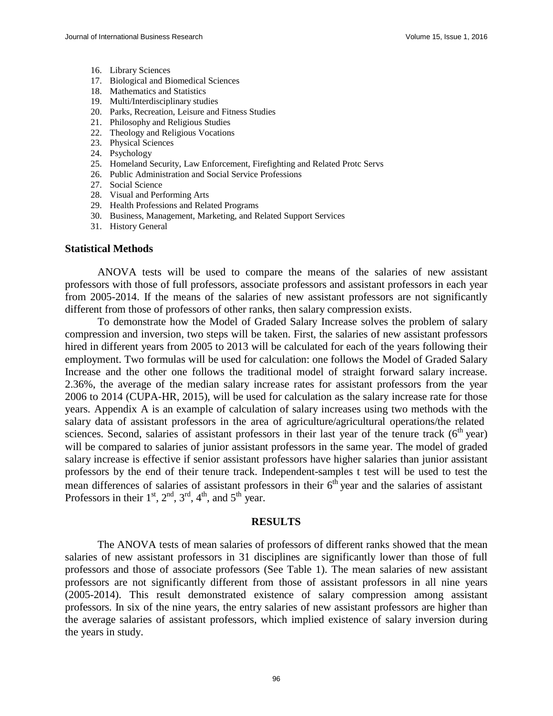- 16. Library Sciences
- 17. Biological and Biomedical Sciences
- 18. Mathematics and Statistics
- 19. Multi/Interdisciplinary studies
- 20. Parks, Recreation, Leisure and Fitness Studies
- 21. Philosophy and Religious Studies
- 22. Theology and Religious Vocations
- 23. Physical Sciences
- 24. Psychology
- 25. Homeland Security, Law Enforcement, Firefighting and Related Protc Servs
- 26. Public Administration and Social Service Professions
- 27. Social Science
- 28. Visual and Performing Arts
- 29. Health Professions and Related Programs
- 30. Business, Management, Marketing, and Related Support Services
- 31. History General

#### **Statistical Methods**

ANOVA tests will be used to compare the means of the salaries of new assistant professors with those of full professors, associate professors and assistant professors in each year from 2005-2014. If the means of the salaries of new assistant professors are not significantly different from those of professors of other ranks, then salary compression exists.

To demonstrate how the Model of Graded Salary Increase solves the problem of salary compression and inversion, two steps will be taken. First, the salaries of new assistant professors hired in different years from 2005 to 2013 will be calculated for each of the years following their employment. Two formulas will be used for calculation: one follows the Model of Graded Salary Increase and the other one follows the traditional model of straight forward salary increase. 2.36%, the average of the median salary increase rates for assistant professors from the year 2006 to 2014 (CUPA-HR, 2015), will be used for calculation as the salary increase rate for those years. Appendix A is an example of calculation of salary increases using two methods with the salary data of assistant professors in the area of agriculture/agricultural operations/the related sciences. Second, salaries of assistant professors in their last year of the tenure track  $(6<sup>th</sup>$ year) will be compared to salaries of junior assistant professors in the same year. The model of graded salary increase is effective if senior assistant professors have higher salaries than junior assistant professors by the end of their tenure track. Independent-samples t test will be used to test the mean differences of salaries of assistant professors in their  $6<sup>th</sup>$  year and the salaries of assistant Professors in their  $1<sup>st</sup>$ ,  $2<sup>nd</sup>$ ,  $3<sup>rd</sup>$ ,  $4<sup>th</sup>$ , and  $5<sup>th</sup>$  year.

#### **RESULTS**

The ANOVA tests of mean salaries of professors of different ranks showed that the mean salaries of new assistant professors in 31 disciplines are significantly lower than those of full professors and those of associate professors (See Table 1). The mean salaries of new assistant professors are not significantly different from those of assistant professors in all nine years (2005-2014). This result demonstrated existence of salary compression among assistant professors. In six of the nine years, the entry salaries of new assistant professors are higher than the average salaries of assistant professors, which implied existence of salary inversion during the years in study.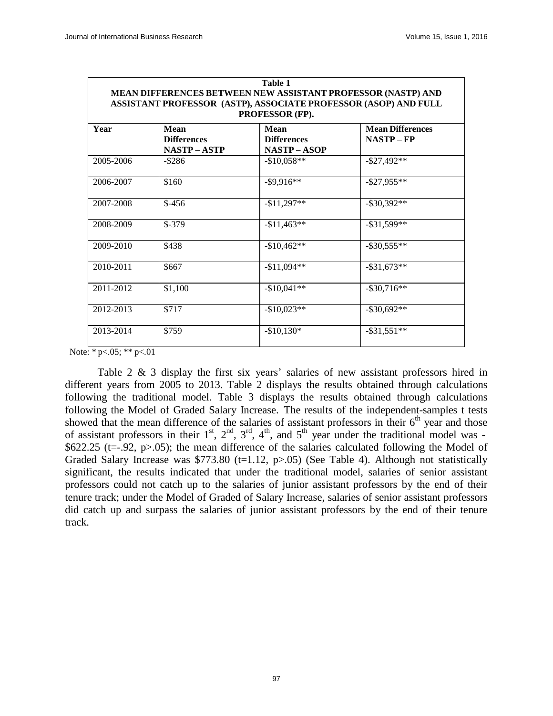| Table 1<br>MEAN DIFFERENCES BETWEEN NEW ASSISTANT PROFESSOR (NASTP) AND<br>ASSISTANT PROFESSOR (ASTP), ASSOCIATE PROFESSOR (ASOP) AND FULL<br>PROFESSOR (FP). |                                          |                                                   |                                     |  |  |  |  |
|---------------------------------------------------------------------------------------------------------------------------------------------------------------|------------------------------------------|---------------------------------------------------|-------------------------------------|--|--|--|--|
| Year                                                                                                                                                          | Mean<br><b>Differences</b><br>NASTP-ASTP | Mean<br><b>Differences</b><br><b>NASTP – ASOP</b> | <b>Mean Differences</b><br>NASTP-FP |  |  |  |  |
| 2005-2006                                                                                                                                                     | $-$ \$286                                | $-$10,058**$                                      | $-$ \$27,492**                      |  |  |  |  |
| 2006-2007                                                                                                                                                     | \$160                                    | $-$ \$9,916**                                     | $-$ \$27,955**                      |  |  |  |  |
| 2007-2008                                                                                                                                                     | $$-456$                                  | $-11,297**$                                       | $-$ \$30,392**                      |  |  |  |  |
| 2008-2009                                                                                                                                                     | $$-379$                                  | $-$11,463**$                                      | $-$ \$31,599**                      |  |  |  |  |
| 2009-2010                                                                                                                                                     | \$438                                    | $-$10,462**$                                      | $-$ \$30,555**                      |  |  |  |  |
| 2010-2011                                                                                                                                                     | \$667                                    | $-$11,094**$                                      | $-$ \$31,673**                      |  |  |  |  |
| 2011-2012                                                                                                                                                     | \$1,100                                  | $-$10,041**$                                      | $-$ \$30,716**                      |  |  |  |  |
| 2012-2013                                                                                                                                                     | \$717                                    | $-$10.023**$                                      | $-$ \$30.692**                      |  |  |  |  |
| 2013-2014                                                                                                                                                     | \$759                                    | $-$10,130*$                                       | $-$ \$31,551**                      |  |  |  |  |

Note: \*  $p < .05$ ; \*\*  $p < .01$ 

Table 2 & 3 display the first six years' salaries of new assistant professors hired in different years from 2005 to 2013. Table 2 displays the results obtained through calculations following the traditional model. Table 3 displays the results obtained through calculations following the Model of Graded Salary Increase. The results of the independent-samples t tests showed that the mean difference of the salaries of assistant professors in their  $6<sup>th</sup>$  year and those of assistant professors in their  $1^{st}$ ,  $2^{nd}$ ,  $3^{rd}$ ,  $4^{th}$ , and  $5^{th}$  year under the traditional model was -\$622.25 (t=-.92, p>.05); the mean difference of the salaries calculated following the Model of Graded Salary Increase was \$773.80 (t=1.12, p>.05) (See Table 4). Although not statistically significant, the results indicated that under the traditional model, salaries of senior assistant professors could not catch up to the salaries of junior assistant professors by the end of their tenure track; under the Model of Graded of Salary Increase, salaries of senior assistant professors did catch up and surpass the salaries of junior assistant professors by the end of their tenure track.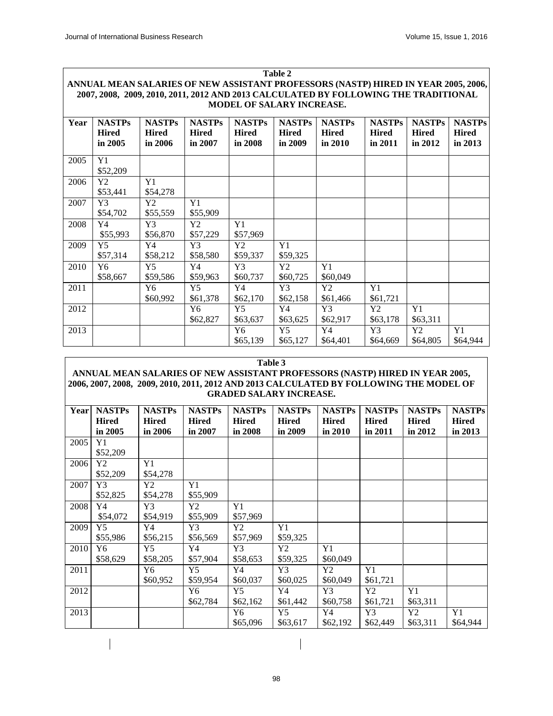$\overline{\phantom{a}}$ 

| <b>Table 2</b>                                                                      |                                          |                                          |                                          |                                          |                                          |                                          |                                          |                                          |                                          |
|-------------------------------------------------------------------------------------|------------------------------------------|------------------------------------------|------------------------------------------|------------------------------------------|------------------------------------------|------------------------------------------|------------------------------------------|------------------------------------------|------------------------------------------|
| ANNUAL MEAN SALARIES OF NEW ASSISTANT PROFESSORS (NASTP) HIRED IN YEAR 2005, 2006,  |                                          |                                          |                                          |                                          |                                          |                                          |                                          |                                          |                                          |
| 2007, 2008, 2009, 2010, 2011, 2012 AND 2013 CALCULATED BY FOLLOWING THE TRADITIONAL |                                          |                                          |                                          |                                          |                                          |                                          |                                          |                                          |                                          |
| <b>MODEL OF SALARY INCREASE.</b>                                                    |                                          |                                          |                                          |                                          |                                          |                                          |                                          |                                          |                                          |
| Year                                                                                | <b>NASTPs</b><br><b>Hired</b><br>in 2005 | <b>NASTPs</b><br><b>Hired</b><br>in 2006 | <b>NASTPs</b><br><b>Hired</b><br>in 2007 | <b>NASTPs</b><br><b>Hired</b><br>in 2008 | <b>NASTPs</b><br><b>Hired</b><br>in 2009 | <b>NASTPs</b><br><b>Hired</b><br>in 2010 | <b>NASTPs</b><br><b>Hired</b><br>in 2011 | <b>NASTPs</b><br><b>Hired</b><br>in 2012 | <b>NASTPs</b><br><b>Hired</b><br>in 2013 |
| 2005                                                                                | Y1<br>\$52,209                           |                                          |                                          |                                          |                                          |                                          |                                          |                                          |                                          |
| 2006                                                                                | Y <sub>2</sub><br>\$53,441               | Y1<br>\$54,278                           |                                          |                                          |                                          |                                          |                                          |                                          |                                          |
| 2007                                                                                | Y3<br>\$54,702                           | Y2<br>\$55,559                           | Y1<br>\$55,909                           |                                          |                                          |                                          |                                          |                                          |                                          |
| 2008                                                                                | Y4<br>\$55,993                           | Y3<br>\$56,870                           | Y2<br>\$57,229                           | Y1<br>\$57,969                           |                                          |                                          |                                          |                                          |                                          |
| 2009                                                                                | Y <sub>5</sub><br>\$57,314               | Y4<br>\$58,212                           | Y3<br>\$58,580                           | Y2<br>\$59,337                           | Y1<br>\$59,325                           |                                          |                                          |                                          |                                          |
| 2010                                                                                | Y <sub>6</sub><br>\$58,667               | Y <sub>5</sub><br>\$59,586               | Y4<br>\$59,963                           | Y3<br>\$60,737                           | Y <sub>2</sub><br>\$60,725               | Y1<br>\$60,049                           |                                          |                                          |                                          |
| 2011                                                                                |                                          | Y <sub>6</sub><br>\$60,992               | Y <sub>5</sub><br>\$61,378               | Y4<br>\$62,170                           | Y3<br>\$62,158                           | Y2<br>\$61,466                           | Y1<br>\$61,721                           |                                          |                                          |
| 2012                                                                                |                                          |                                          | Y <sub>6</sub><br>\$62,827               | Y <sub>5</sub><br>\$63,637               | Y4<br>\$63,625                           | Y3<br>\$62,917                           | Y2<br>\$63,178                           | Y1<br>\$63,311                           |                                          |
| 2013                                                                                |                                          |                                          |                                          | Y6<br>\$65,139                           | Y <sub>5</sub><br>\$65,127               | Y4<br>\$64,401                           | Y3<br>\$64,669                           | Y2<br>\$64,805                           | Y1<br>\$64,944                           |

#### **Table 3**

#### **ANNUAL MEAN SALARIES OF NEW ASSISTANT PROFESSORS (NASTP) HIRED IN YEAR 2005, 2006, 2007, 2008, 2009, 2010, 2011, 2012 AND 2013 CALCULATED BY FOLLOWING THE MODEL OF GRADED SALARY INCREASE.**

| Year | <b>NASTPs</b><br><b>Hired</b><br>in $2005$ | <b>NASTPs</b><br><b>Hired</b><br>in 2006 | <b>NASTPs</b><br><b>Hired</b><br>in 2007 | <b>NASTPs</b><br><b>Hired</b><br>in 2008 | <b>NASTPs</b><br><b>Hired</b><br>in 2009 | <b>NASTPs</b><br><b>Hired</b><br>in $2010$ | <b>NASTPs</b><br><b>Hired</b><br>in 2011 | <b>NASTPs</b><br><b>Hired</b><br>in 2012 | <b>NASTPs</b><br><b>Hired</b><br>in 2013 |
|------|--------------------------------------------|------------------------------------------|------------------------------------------|------------------------------------------|------------------------------------------|--------------------------------------------|------------------------------------------|------------------------------------------|------------------------------------------|
| 2005 | Y1<br>\$52,209                             |                                          |                                          |                                          |                                          |                                            |                                          |                                          |                                          |
| 2006 | Y2<br>\$52,209                             | Y1<br>\$54,278                           |                                          |                                          |                                          |                                            |                                          |                                          |                                          |
| 2007 | Y <sub>3</sub><br>\$52,825                 | Y2<br>\$54,278                           | Y1<br>\$55,909                           |                                          |                                          |                                            |                                          |                                          |                                          |
| 2008 | Y4<br>\$54,072                             | Y3<br>\$54,919                           | Y2<br>\$55,909                           | Y1<br>\$57,969                           |                                          |                                            |                                          |                                          |                                          |
| 2009 | $Y_5$<br>\$55,986                          | Y4<br>\$56,215                           | Y3<br>\$56,569                           | Y2<br>\$57,969                           | Y1<br>\$59,325                           |                                            |                                          |                                          |                                          |
| 2010 | Y6<br>\$58,629                             | Y5<br>\$58,205                           | Y4<br>\$57,904                           | Y3<br>\$58,653                           | Y2<br>\$59,325                           | Y1<br>\$60,049                             |                                          |                                          |                                          |
| 2011 |                                            | Y6<br>\$60,952                           | Y5<br>\$59,954                           | Y4<br>\$60,037                           | Y3<br>\$60,025                           | Y2<br>\$60,049                             | Y1<br>\$61,721                           |                                          |                                          |
| 2012 |                                            |                                          | Y6<br>\$62,784                           | Y <sub>5</sub><br>\$62,162               | Y4<br>\$61,442                           | Y3<br>\$60,758                             | Y2<br>\$61,721                           | Y1<br>\$63,311                           |                                          |
| 2013 |                                            |                                          |                                          | Y6<br>\$65,096                           | Y5<br>\$63,617                           | Y4<br>\$62,192                             | Y3<br>\$62,449                           | Y2<br>\$63,311                           | Y1<br>\$64,944                           |

 $\overline{\phantom{a}}$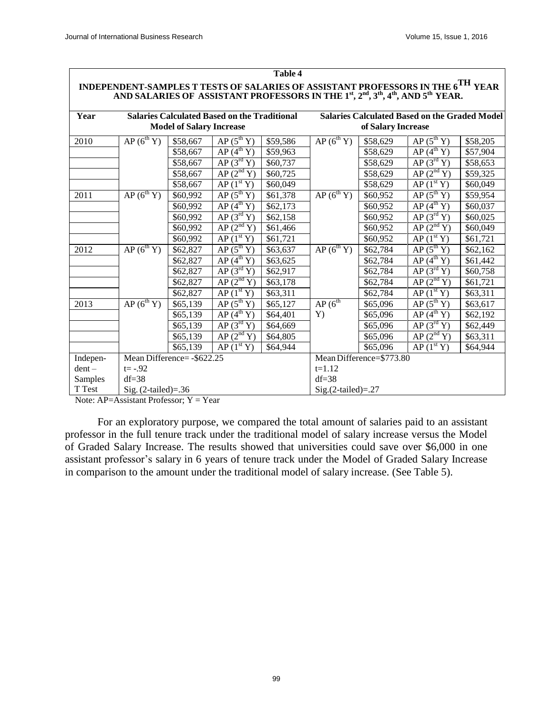| INDEPENDENT-SAMPLES T TESTS OF SALARIES OF ASSISTANT PROFESSORS IN THE 6 <sup>111</sup> YEAR<br>AND SALARIES OF ASSISTANT PROFESSORS IN THE 1st, 2 <sup>nd</sup> , 3 <sup>th</sup> , 4 <sup>th</sup> , AND 5 <sup>th</sup> YEAR. |                             |                                 |                                                     |                          |                                                      |                    |                          |          |  |
|----------------------------------------------------------------------------------------------------------------------------------------------------------------------------------------------------------------------------------|-----------------------------|---------------------------------|-----------------------------------------------------|--------------------------|------------------------------------------------------|--------------------|--------------------------|----------|--|
| Year                                                                                                                                                                                                                             |                             |                                 | <b>Salaries Calculated Based on the Traditional</b> |                          | <b>Salaries Calculated Based on the Graded Model</b> |                    |                          |          |  |
|                                                                                                                                                                                                                                  |                             | <b>Model of Salary Increase</b> |                                                     |                          |                                                      | of Salary Increase |                          |          |  |
| 2010                                                                                                                                                                                                                             | $AP(6^{th} Y)$              | \$58,667                        | $AP(5^{th} Y)$                                      | \$59,586                 | $AP(6^{th} Y)$                                       | \$58,629           | AP(5 <sup>th</sup> Y)    | \$58,205 |  |
|                                                                                                                                                                                                                                  |                             | \$58,667                        | AP(4 <sup>th</sup> Y)                               | \$59,963                 |                                                      | \$58,629           | AP(4 <sup>th</sup> Y)    | \$57,904 |  |
|                                                                                                                                                                                                                                  |                             | \$58,667                        | AP(3 <sup>rd</sup> Y)                               | \$60,737                 |                                                      | \$58,629           | AP(3 <sup>rd</sup> Y)    | \$58,653 |  |
|                                                                                                                                                                                                                                  |                             | \$58,667                        | AP(2 <sup>nd</sup> Y)                               | \$60,725                 |                                                      | \$58,629           | AP(2 <sup>nd</sup> Y)    | \$59,325 |  |
|                                                                                                                                                                                                                                  |                             | \$58,667                        | AP(1 <sup>st</sup> Y)                               | \$60,049                 |                                                      | \$58,629           | AP(1 <sup>st</sup> Y)    | \$60,049 |  |
| 2011                                                                                                                                                                                                                             | $AP(6^{th} Y)$              | \$60,992                        | $AP(5^{th} Y)$                                      | \$61,378                 | $AP(6^{th} Y)$                                       | \$60,952           | $AP(5^{th} Y)$           | \$59,954 |  |
|                                                                                                                                                                                                                                  |                             | \$60,992                        | AP(4 <sup>th</sup> Y)                               | \$62,173                 |                                                      | \$60,952           | AP(4 <sup>th</sup> Y)    | \$60,037 |  |
|                                                                                                                                                                                                                                  |                             | \$60,992                        | AP(3 <sup>rd</sup> Y)                               | \$62,158                 |                                                      | \$60,952           | $AP(3^{rd} Y)$           | \$60,025 |  |
|                                                                                                                                                                                                                                  |                             | \$60,992                        | AP(2 <sup>nd</sup> Y)                               | \$61,466                 |                                                      | \$60,952           | $AP(2^{nd}Y)$            | \$60,049 |  |
|                                                                                                                                                                                                                                  |                             | \$60,992                        | AP(1 <sup>st</sup> Y)                               | \$61,721                 |                                                      | \$60,952           | AP(1 <sup>st</sup> Y)    | \$61,721 |  |
| 2012                                                                                                                                                                                                                             | $AP(6^{th} Y)$              | \$62,827                        | $AP(5^{th} Y)$                                      | \$63,637                 | AP(6 <sup>th</sup> Y)                                | \$62,784           | AP(5 <sup>th</sup> Y)    | \$62,162 |  |
|                                                                                                                                                                                                                                  |                             | \$62,827                        | AP(4 <sup>th</sup> Y)                               | \$63,625                 |                                                      | \$62,784           | AP(4 <sup>th</sup> Y)    | \$61,442 |  |
|                                                                                                                                                                                                                                  |                             | \$62,827                        | AP(3 <sup>rd</sup> Y)                               | \$62,917                 |                                                      | \$62,784           | $AP(3^{rd} Y)$           | \$60,758 |  |
|                                                                                                                                                                                                                                  |                             | \$62,827                        | AP(2 <sup>nd</sup> Y)                               | \$63,178                 |                                                      | \$62,784           | $AP(2^{nd}Y)$            | \$61,721 |  |
|                                                                                                                                                                                                                                  |                             | \$62,827                        | $\overline{AP(1^{st}Y)}$                            | \$63,311                 |                                                      | \$62,784           | AP(1 <sup>st</sup> Y)    | \$63,311 |  |
| 2013                                                                                                                                                                                                                             | $AP(6^{th} Y)$              | \$65,139                        | $AP(5^{th} Y)$                                      | \$65,127                 | AP(6 <sup>th</sup> )                                 | \$65,096           | $AP(5^{th} Y)$           | \$63,617 |  |
|                                                                                                                                                                                                                                  |                             | \$65,139                        | AP(4 <sup>th</sup> Y)                               | \$64,401                 | Y)                                                   | \$65,096           | AP(4 <sup>th</sup> Y)    | \$62,192 |  |
|                                                                                                                                                                                                                                  |                             | \$65,139                        | AP(3 <sup>rd</sup> Y)                               | \$64,669                 |                                                      | \$65,096           | AP(3 <sup>rd</sup> Y)    | \$62,449 |  |
|                                                                                                                                                                                                                                  |                             | \$65,139                        | AP(2 <sup>nd</sup> Y)                               | \$64,805                 |                                                      | \$65,096           | $\overline{AP(2^{nd}Y)}$ | \$63,311 |  |
|                                                                                                                                                                                                                                  |                             | \$65,139                        | $AP(1^{\rm st} Y)$                                  | \$64,944                 |                                                      | \$65,096           | $AP(1^{st}Y)$            | \$64,944 |  |
| Indepen-                                                                                                                                                                                                                         | Mean Difference= - \$622.25 |                                 |                                                     | Mean Difference=\$773.80 |                                                      |                    |                          |          |  |
| $dent -$                                                                                                                                                                                                                         | $t = -.92$                  |                                 |                                                     |                          | $t=1.12$                                             |                    |                          |          |  |
| Samples                                                                                                                                                                                                                          | $df = 38$                   |                                 |                                                     |                          | $df = 38$                                            |                    |                          |          |  |
| T Test                                                                                                                                                                                                                           | Sig. $(2$ -tailed $)=.36$   |                                 |                                                     |                          | $Sig.(2-tailed)=.27$                                 |                    |                          |          |  |

**Table 4**

# **INDEPENDENT-SAMPLES <sup>T</sup> TESTS OF SALARIES OF ASSISTANT PROFESSORS IN THE 6TH YEAR**

Note: AP=Assistant Professor; Y = Year

For an exploratory purpose, we compared the total amount of salaries paid to an assistant professor in the full tenure track under the traditional model of salary increase versus the Model of Graded Salary Increase. The results showed that universities could save over \$6,000 in one assistant professor's salary in 6 years of tenure track under the Model of Graded Salary Increase in comparison to the amount under the traditional model of salary increase. (See Table 5).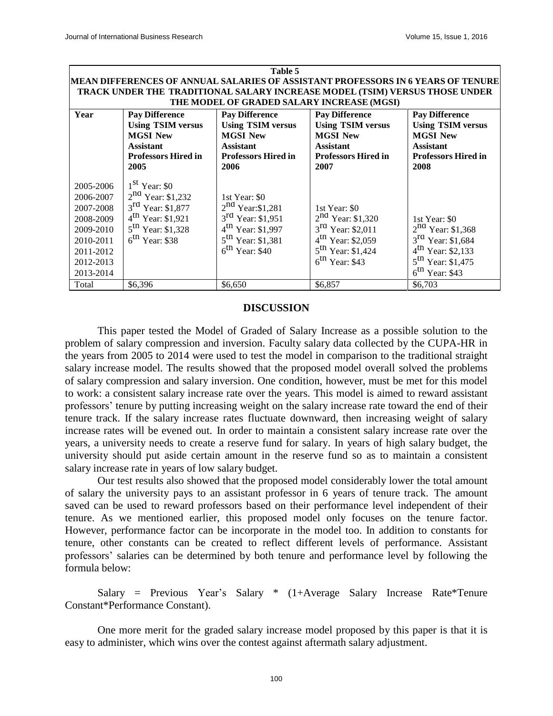| Table 5                                                                                                           |                                                                                                                                                       |                                                                                                                                                           |                                                                                                                                                                   |                                                                                                                                                     |  |  |  |  |
|-------------------------------------------------------------------------------------------------------------------|-------------------------------------------------------------------------------------------------------------------------------------------------------|-----------------------------------------------------------------------------------------------------------------------------------------------------------|-------------------------------------------------------------------------------------------------------------------------------------------------------------------|-----------------------------------------------------------------------------------------------------------------------------------------------------|--|--|--|--|
| MEAN DIFFERENCES OF ANNUAL SALARIES OF ASSISTANT PROFESSORS IN 6 YEARS OF TENURE                                  |                                                                                                                                                       |                                                                                                                                                           |                                                                                                                                                                   |                                                                                                                                                     |  |  |  |  |
| TRACK UNDER THE TRADITIONAL SALARY INCREASE MODEL (TSIM) VERSUS THOSE UNDER                                       |                                                                                                                                                       |                                                                                                                                                           |                                                                                                                                                                   |                                                                                                                                                     |  |  |  |  |
| THE MODEL OF GRADED SALARY INCREASE (MGSI)                                                                        |                                                                                                                                                       |                                                                                                                                                           |                                                                                                                                                                   |                                                                                                                                                     |  |  |  |  |
| Year                                                                                                              | <b>Pay Difference</b>                                                                                                                                 | <b>Pay Difference</b>                                                                                                                                     | <b>Pay Difference</b>                                                                                                                                             | <b>Pay Difference</b>                                                                                                                               |  |  |  |  |
|                                                                                                                   | <b>Using TSIM versus</b>                                                                                                                              | <b>Using TSIM versus</b>                                                                                                                                  | <b>Using TSIM versus</b>                                                                                                                                          | <b>Using TSIM versus</b>                                                                                                                            |  |  |  |  |
|                                                                                                                   | <b>MGSI New</b>                                                                                                                                       | <b>MGSI New</b>                                                                                                                                           | <b>MGSI New</b>                                                                                                                                                   | <b>MGSI New</b>                                                                                                                                     |  |  |  |  |
|                                                                                                                   | <b>Assistant</b>                                                                                                                                      | <b>Assistant</b>                                                                                                                                          | <b>Assistant</b>                                                                                                                                                  | <b>Assistant</b>                                                                                                                                    |  |  |  |  |
|                                                                                                                   | <b>Professors Hired in</b>                                                                                                                            | <b>Professors Hired in</b>                                                                                                                                | <b>Professors Hired in</b>                                                                                                                                        | <b>Professors Hired in</b>                                                                                                                          |  |  |  |  |
|                                                                                                                   | 2005                                                                                                                                                  | 2006                                                                                                                                                      | 2007                                                                                                                                                              | 2008                                                                                                                                                |  |  |  |  |
| 2005-2006<br>2006-2007<br>2007-2008<br>2008-2009<br>2009-2010<br>2010-2011<br>2011-2012<br>2012-2013<br>2013-2014 | $1st$ Year: \$0<br>$2^{nd}$ Year: \$1,232<br>$3^{rd}$ Year: \$1,877<br>$4^{th}$ Year: \$1,921<br>$5^{th}$ Year: \$1,328<br>$6^{\text{th}}$ Year: \$38 | 1st Year: \$0<br>$2^{nd}$ Year:\$1,281<br>$3^{rd}$ Year: \$1,951<br>$4^{th}$ Year: \$1,997<br>$5^{\text{th}}$ Year: \$1,381<br>$6^{\text{th}}$ Year: \$40 | 1st Year: \$0<br>$2^{nd}$ Year: \$1,320<br>$3^{rd}$ Year: \$2,011<br>$4^{\text{th}}$ Year: \$2,059<br>$5^{\text{th}}$ Year: \$1,424<br>$6^{\text{th}}$ Year: \$43 | 1st Year: \$0<br>$2^{nd}$ Year: \$1,368<br>$3^{rd}$ Year: \$1,684<br>$4^{th}$ Year: \$2,133<br>$5^{th}$ Year: \$1,475<br>$6^{\text{th}}$ Year: \$43 |  |  |  |  |
| Total                                                                                                             | \$6,396                                                                                                                                               | \$6,650                                                                                                                                                   | \$6,857                                                                                                                                                           | \$6,703                                                                                                                                             |  |  |  |  |

#### **DISCUSSION**

This paper tested the Model of Graded of Salary Increase as a possible solution to the problem of salary compression and inversion. Faculty salary data collected by the CUPA-HR in the years from 2005 to 2014 were used to test the model in comparison to the traditional straight salary increase model. The results showed that the proposed model overall solved the problems of salary compression and salary inversion. One condition, however, must be met for this model to work: a consistent salary increase rate over the years. This model is aimed to reward assistant professors' tenure by putting increasing weight on the salary increase rate toward the end of their tenure track. If the salary increase rates fluctuate downward, then increasing weight of salary increase rates will be evened out. In order to maintain a consistent salary increase rate over the years, a university needs to create a reserve fund for salary. In years of high salary budget, the university should put aside certain amount in the reserve fund so as to maintain a consistent salary increase rate in years of low salary budget.

Our test results also showed that the proposed model considerably lower the total amount of salary the university pays to an assistant professor in 6 years of tenure track. The amount saved can be used to reward professors based on their performance level independent of their tenure. As we mentioned earlier, this proposed model only focuses on the tenure factor. However, performance factor can be incorporate in the model too. In addition to constants for tenure, other constants can be created to reflect different levels of performance. Assistant professors' salaries can be determined by both tenure and performance level by following the formula below:

Salary = Previous Year's Salary \* (1+Average Salary Increase Rate\*Tenure Constant\*Performance Constant).

One more merit for the graded salary increase model proposed by this paper is that it is easy to administer, which wins over the contest against aftermath salary adjustment.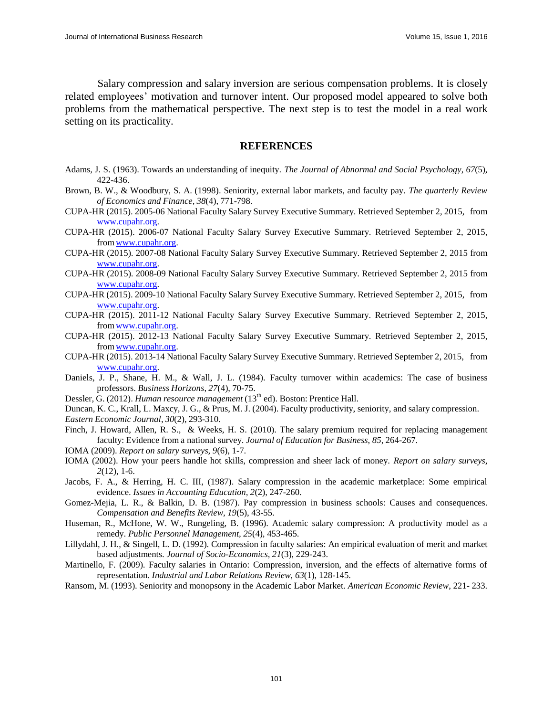Salary compression and salary inversion are serious compensation problems. It is closely related employees' motivation and turnover intent. Our proposed model appeared to solve both problems from the mathematical perspective. The next step is to test the model in a real work setting on its practicality.

#### **REFERENCES**

- Adams, J. S. (1963). Towards an understanding of inequity. *The Journal of Abnormal and Social Psychology*, *67*(5), 422-436.
- Brown, B. W., & Woodbury, S. A. (1998). Seniority, external labor markets, and faculty pay. *The quarterly Review of Economics and Finance, 38*(4), 771-798.
- CUPA-HR (2015). 2005-06 National Faculty Salary Survey Executive Summary. Retrieved September 2, 2015, from [www.cupahr.org.](http://www.cupahr.org/)
- CUPA-HR (2015). 2006-07 National Faculty Salary Survey Executive Summary. Retrieved September 2, 2015, fro[mwww.cupahr.org.](http://www.cupahr.org/)
- CUPA-HR (2015). 2007-08 National Faculty Salary Survey Executive Summary. Retrieved September 2, 2015 from [www.cupahr.org.](http://www.cupahr.org/)
- CUPA-HR (2015). 2008-09 National Faculty Salary Survey Executive Summary. Retrieved September 2, 2015 from [www.cupahr.org.](http://www.cupahr.org/)
- CUPA-HR (2015). 2009-10 National Faculty Salary Survey Executive Summary. Retrieved September 2, 2015, from [www.cupahr.org.](http://www.cupahr.org/)
- CUPA-HR (2015). 2011-12 National Faculty Salary Survey Executive Summary. Retrieved September 2, 2015, fro[mwww.cupahr.org.](http://www.cupahr.org/)
- CUPA-HR (2015). 2012-13 National Faculty Salary Survey Executive Summary. Retrieved September 2, 2015, from www.cupahr.org.
- CUPA-HR (2015). 2013-14 National Faculty Salary Survey Executive Summary. Retrieved September 2, 2015, from [www.cupahr.org.](http://www.cupahr.org/)
- Daniels, J. P., Shane, H. M., & Wall, J. L. (1984). Faculty turnover within academics: The case of business professors. *Business Horizons*, *27*(4), 70-75.
- Dessler, G. (2012). *Human resource management* (13<sup>th</sup> ed). Boston: Prentice Hall.
- Duncan, K. C., Krall, L. Maxcy, J. G., & Prus, M. J. (2004). Faculty productivity, seniority, and salary compression.
- *Eastern Economic Journal*, *30*(2), 293-310.
- Finch, J. Howard, Allen, R. S., & Weeks, H. S. (2010). The salary premium required for replacing management faculty: Evidence from a national survey. *Journal of Education for Business*, *85*, 264-267.
- IOMA (2009). *Report on salary surveys, 9*(6), 1-7.
- IOMA (2002). How your peers handle hot skills, compression and sheer lack of money. *Report on salary surveys*, *2*(12), 1-6.
- Jacobs, F. A., & Herring, H. C. III, (1987). Salary compression in the academic marketplace: Some empirical evidence. *Issues in Accounting Education, 2*(2), 247-260.
- Gomez-Mejia, L. R., & Balkin, D. B. (1987). Pay compression in business schools: Causes and consequences. *Compensation and Benefits Review, 19*(5), 43-55.
- Huseman, R., McHone, W. W., Rungeling, B. (1996). Academic salary compression: A productivity model as a remedy. *Public Personnel Management, 25*(4), 453-465.
- Lillydahl, J. H., & Singell, L. D. (1992). Compression in faculty salaries: An empirical evaluation of merit and market based adjustments. *Journal of Socio-Economics, 21*(3), 229-243.
- Martinello, F. (2009). Faculty salaries in Ontario: Compression, inversion, and the effects of alternative forms of representation. *Industrial and Labor Relations Review, 63*(1), 128-145.
- Ransom, M. (1993). Seniority and monopsony in the Academic Labor Market. *American Economic Review*, 221- 233.